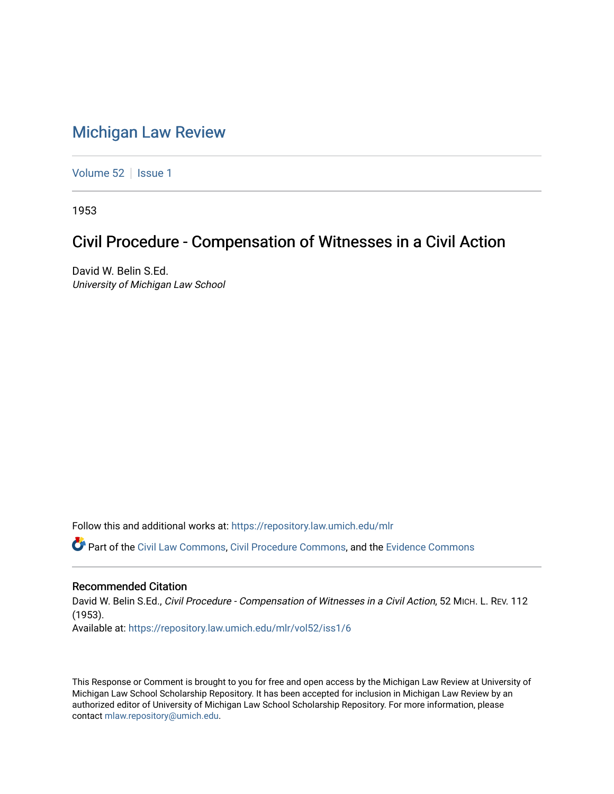# [Michigan Law Review](https://repository.law.umich.edu/mlr)

[Volume 52](https://repository.law.umich.edu/mlr/vol52) | [Issue 1](https://repository.law.umich.edu/mlr/vol52/iss1)

1953

# Civil Procedure - Compensation of Witnesses in a Civil Action

David W. Belin S.Ed. University of Michigan Law School

Follow this and additional works at: [https://repository.law.umich.edu/mlr](https://repository.law.umich.edu/mlr?utm_source=repository.law.umich.edu%2Fmlr%2Fvol52%2Fiss1%2F6&utm_medium=PDF&utm_campaign=PDFCoverPages) 

Part of the [Civil Law Commons](http://network.bepress.com/hgg/discipline/835?utm_source=repository.law.umich.edu%2Fmlr%2Fvol52%2Fiss1%2F6&utm_medium=PDF&utm_campaign=PDFCoverPages), [Civil Procedure Commons,](http://network.bepress.com/hgg/discipline/584?utm_source=repository.law.umich.edu%2Fmlr%2Fvol52%2Fiss1%2F6&utm_medium=PDF&utm_campaign=PDFCoverPages) and the [Evidence Commons](http://network.bepress.com/hgg/discipline/601?utm_source=repository.law.umich.edu%2Fmlr%2Fvol52%2Fiss1%2F6&utm_medium=PDF&utm_campaign=PDFCoverPages)

### Recommended Citation

David W. Belin S.Ed., Civil Procedure - Compensation of Witnesses in a Civil Action, 52 MICH. L. REV. 112 (1953). Available at: [https://repository.law.umich.edu/mlr/vol52/iss1/6](https://repository.law.umich.edu/mlr/vol52/iss1/6?utm_source=repository.law.umich.edu%2Fmlr%2Fvol52%2Fiss1%2F6&utm_medium=PDF&utm_campaign=PDFCoverPages)

This Response or Comment is brought to you for free and open access by the Michigan Law Review at University of Michigan Law School Scholarship Repository. It has been accepted for inclusion in Michigan Law Review by an authorized editor of University of Michigan Law School Scholarship Repository. For more information, please contact [mlaw.repository@umich.edu](mailto:mlaw.repository@umich.edu).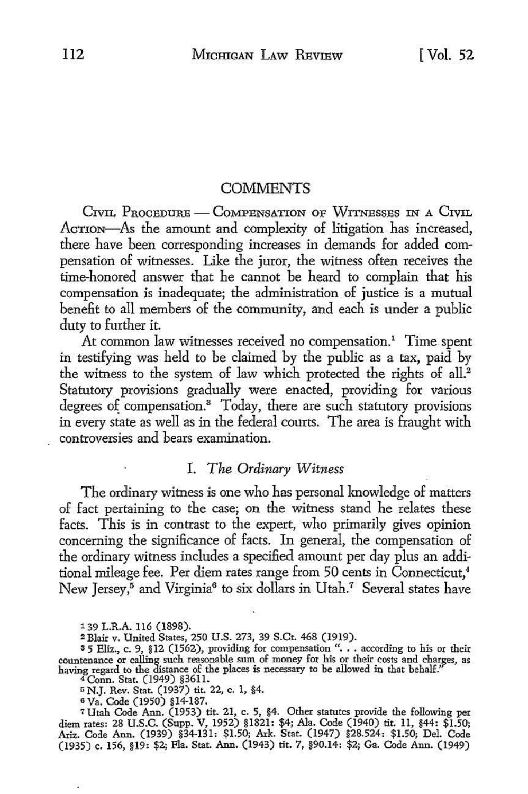#### **COMMENTS**

CIVIL PROCEDURE - COMPENSATION OF WITNESSES IN A CIVIL AcTION-As the amount and complexity of litigation has increased, there have been corresponding increases in demands for added compensation of witnesses. Like the juror, the witness often receives the time-honored answer that he cannot be heard to complain that his compensation is inadequate; the administration of justice is a mutual benefit to all members of the community, and each is under a public duty to further it

At common law witnesses received no compensation.<sup>1</sup> Time spent in testifying was held to be claimed by the public as a tax, paid by the witness to the system of law which protected the rights of all.<sup>2</sup> Statutory provisions gradually were enacted, providing for various degrees of compensation.<sup>3</sup> Today, there are such statutory provisions in every state as well as in the federal courts. The area is fraught with controversies and bears examination.

# I. *The Ordinary Witness*

The ordinary witness is one who has personal knowledge of matters of fact pertaining to the case; on the witness stand he relates these facts. This is in contrast to the expert, who primarily gives opinion concerning the significance of facts. In general, the compensation of the ordinary witness includes a specified amount per day plus an additional mileage fee. Per diem rates range from 50 cents in Connecticut,<sup>4</sup> New Jersey,<sup>5</sup> and Virginia<sup>6</sup> to six dollars in Utah.<sup>7</sup> Several states have

1 39 L.R.A. 116 (1898).

2 Blair v. United States, 250 U.S. 273, 39 S.Ct. 468 (1919).

<sup>2</sup> Blair v. United States, 250 U.S. 273, 39 S.Ct. 406 (1919).<br><sup>8</sup> 5 Eliz., c. 9, §12 (1562), providing for compensation "... according to his or their countenance or calling such reasonable sum of money for his or their costs and charges, as having regard to the distance of the places is necessary to be allowed in that behalf.''

<sup>4</sup>Conn. Stat. (1949) §3611.

<sup>5</sup>N.J. Rev. Stat. (1937) tit. 22, c. 1, §4.

6 Va. Code (1950) §14-187.

<sup>7</sup>Utah Code Ann. (1953) tit. 21, c. 5, §4. Other statutes provide the following per diem rates: 28 U.S.C. (Supp. V, 1952) §1821: \$4; Ala. Code (1940) tit. 11, §44: \$1.50; Ariz. Code Ann. (1939) §34-131: \$1.50; Ark. Stat. (1947) §28.524: \$1.50; Del. Code (1935) c. 156, §19: \$2; Fla. Stat. Ann. (1943) tit. 7, §90.14: \$2; Ga. Code Ann. (1949)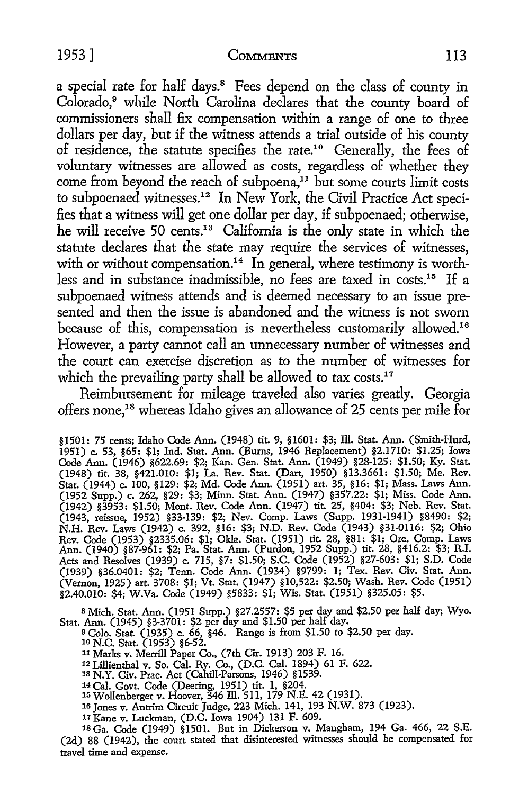## 1953] COMMENTS 113

a special rate for half days.<sup>8</sup> Fees depend on the class of county in Colorado,<sup>9</sup> while North Carolina declares that the county board of commissioners shall fix compensation within a range of one to three dollars per day, but if the witness attends a trial outside of his county of residence, the statute specifies the rate.<sup>10</sup> Generally, the fees of voluntary witnesses are allowed as costs, regardless of whether they come from beyond the reach of subpoena,<sup>11</sup> but some courts limit costs to subpoenaed witnesses.12 In New York, the Civil Practice Act specifies that a witness will get one dollar per day, if subpoenaed; otherwise, he will receive 50 cents.<sup>13</sup> California is the only state in which the statute declares that the state may require the services of witnesses, with or without compensation.<sup>14</sup> In general, where testimony is worthless and in substance inadmissible, no fees are taxed in costs.15 If a subpoenaed witness attends and is deemed necessary to an issue presented and then the issue is abandoned and the witness is not sworn because of this, compensation is nevertheless customarily allowed.16 However, a party cannot call an unnecessary number of witnesses and the court can exercise discretion as to the number of witnesses for which the prevailing party shall be allowed to tax costs.<sup>17</sup>

Reimbursement for mileage traveled also varies greatly. Georgia offers none,<sup>18</sup> whereas Idaho gives an allowance of 25 cents per mile for

§1501: 75 cents; Idaho Code Ann. (1948) tit. 9, §1601: \$3; ill. Stat. Ann. (Smith-Hurd, 1951) c. 53, §65: \$1; Ind. Stat. Ann. (Bums, 1946 Replacement) §2.1710: \$1.25; Iowa Code Ann. (1946) §622.69: \$2; Kan. Gen. Stat. Ann. (1949) §28-125: \$1.50; Ky. Stat. (1948) tit. 38, §421.010: \$1; La. Rev. Stat. (Dart, 1950) §13.3661: \$1.50; Me. Rev. Stat. (1944) c. 100, §129: \$2; Md. Code Ann. (1951) art. 35, §16: \$1; Mass. Laws Ann. (1952 Supp.) c. 262, §29: \$3; Minn. Stat. Ann. (1947) §357.22: \$1; Miss. Code Ann. (1942) §3953: \$1.50; Mont. Rev. Code Ann. (1947) tit. 25, §404: \$3; Neb. Rev. Stat. (1943, reissue, 1952) §33-139: \$2; Nev. Comp. Laws (Supp. 1931-1941) §8490: \$2; N.H. Rev. Laws (1942) c. 392, §16: \$3; N.D. Rev. Code (1943) §31-0116: \$2; Ohio Rev. Code (1953) §2335.06: \$1; Okla. Stat. (1951) tit. 28, §81: \$1; Ore. Comp. Laws Ann. (1940) §87-961: \$2; Pa. Stat. Ann. (Purdon, 1952 Supp.) tit. 28, §416.2: \$3; R.I. Acts and Resolves (1939) c. 715, §7: \$1.50; S.C. Code (1952) §27-603: \$1; S.D. Code (1939) §36.0401: \$2; Tenn. Code Ann. (1934) §9799: l; Tex. Rev. Civ. Stat. Ann. (Vernon, 1925) art. 3708: \$1; Vt. Stat. (1947) §10,522: \$2.50; Wash. Rev. Code (1951) §2.40.010: \$4; W.Va. Code (1949) §5833: \$1; Wis. Stat. (1951) §325.05: \$5.

8 Mich. Stat. Ann. (1951 Supp.) §27.2557: \$5 per day and \$2.50 per half day; Wyo. Stat. Ann. (1945) §3-3701: \$2 per day and \$1.50 per half day.

- o Colo. Stat. (1935) c. 66, §46. Range is from \$1.50 to \$2.50 per day. 10 N.C. Stat. (1953) §6-52.
- 
- <sup>11</sup>Marks *v.* Merrill Paper Co., (7th Cir. 1913) 203 F. 16.
- 12 Lillienthal *v.* So. Cal. Ry. Co., (D.C. Cal. 1894) 61 F. 622. 13 N.Y. Civ. Prac. Act (Cahill-Parsons, 1946) §1539.
- 
- 14 Cal. Govt. Code (Deering, 1951) tit. 1, §204. 15Wollenberger v. Hoover, 346 ill. 511, 179 N.E. 42 (1931).
- 16 Jones *v.* Antrim Circuit Judge, 223 Mich. 141, 193 N.W. 873 (1923).
- 17 Kane v. Luckman, (D.C. Iowa 1904) 131 F. 609.

18 Ga. Code (1949) §1501. But in Dickerson *v.* Mangham, 194 Ga. 466, 22 S.E. (2d) 88 (1942), the court stated that disinterested witnesses should be compensated for travel time and expense.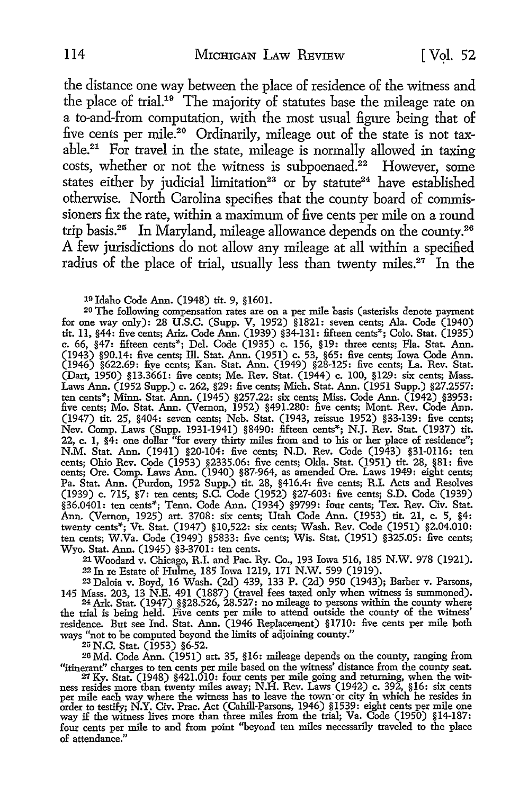the distance one way between the place of residence of the witness and the place of trial.<sup>19</sup> The majority of statutes base the mileage rate on a to-and-from computation, with the most usual figure being that of five cents per mile.<sup>20</sup> Ordinarily, mileage out of the state is not taxable.<sup>21</sup> For travel in the state, mileage is normally allowed in taxing costs, whether or not the witness is subpoenaed.<sup>22</sup> However, some states either by judicial limitation<sup>23</sup> or by statute<sup>24</sup> have established otherwise. North Carolina specifies that the county board of commissioners fix the rate, within a maximum of five cents per mile on a round trip basis.25 In Maryland, mileage allowance depends on the county.26 A few jurisdictions do not allow any mileage at all within a specified radius of the place of trial, usually less than twenty miles.<sup>27</sup> In the

19 Idaho Code Ann. (1948) tit. 9, §1601.

20 The following compensation rates are on a per mile basis (asterisks denote payment for one way only): 28 U.S.C. (Supp. V, 1952) §1821: seven cents; Ala. Code (1940) tit. 11, §44: five cents; Ariz. Code Ann. (1939) §34-131: fifteen cents\*; Colo. Stat. (1935) c. 66, §47: fifteen cents\*; Del. Code (1935) c. 156, §19: three cents; Fla. Stat. Ann. (1943) §90.14: five cents; Ill. Stat. Ann. (1951) c. 53, §65: five cents; Iowa Code Ann.<br>(1946) §622.69: five cents; Kan. Stat. Ann. (1949) §28-125: five cents; La. Rev. Stat. (Dart, 1950) §13.3661: five cents; Me. Rev. Stat. (1944) c. 100, §129: six cents; Mass. Laws Ann. (1952 Supp.) c. 262, §29: five cents; Mich. Stat. Ann. (1951 Supp.) §27.2557: ten cents\*; Minn. Stat. Ann. (1945) §257.22: six cents; Miss. Code Ann. (1942) §3953: five cents; Mo. Stat. Ann. (Vernon, 1952) §491.280: five cents; Mont. Rev. Code Ann. (1947) tit. 25, §404: seven cents; Neb. Stat. (1943, reissue 1952) §33-139: five cents; Nev. Comp. Laws (Supp. 1931-1941) §8490: fifteen cents\*; N.J. Rev. Stat. (1937) tit. 22, c. 1, §4: one dollar "for every thirty miles from and to his or her place of residence"; N.M. Stat. Ann. (1941) §20-104: five cents; N.D. Rev. Code (1943) §31-0116: ten cents; Ohio Rev. Code (1953) §2335.06: five cents; Okla. Stat. (1951) tit. 28, §81: five cents; Ore. Comp. Laws Ann. (1940) §87-964, as amended Ore. Laws 1949: eight cents; Pa. Stat. Ann. (Purdon, 1952 Supp.) tit. 28, §416.4: five cents; R.I. Acts and Resolves (1939) c. 715, §7: ten cents; S.C. Code (1952) §27-603: five cents; S.D. Code (1939) §36.0401: ten cents\*; Tenn. Code Ann. (1934) §9799: four cents; Tex. Rev. Civ. Stat. Ann. (Vernon, 1925) art. 3708: six cents; Utah Code Ann. (1953) tit. 21, c. 5, §4: twenty cents\*; Vt. Stat. (1947) §10,522: six cents; Wash. Rev. Code (1951) §2.04.010: ten cents; W.Va. Code (1949) §5833: five cents; Wis. Stat. (1951) §325.05: five cents; Wyo. Stat. Ann. (1945) §3-3701: ten cents.

21 Woodard v. Chicago, R.I. and Pac. Ry. Co., 193 Iowa 516, 185 N.W. 978 (1921). 22 In re Estate of Hnlme, 185 Iowa 1219, 171 N.W. 599 (1919).

23 Daloia v. Boyd, 16 Wash. (2d) 439, 133 P. (2d) 950 (1943); Barber v. Parsons,

145 Mass. 203, 13 N.E. 491 (1887) (travel fees taxed only when witness is summoned). 24Ark. Stat. (1947) §§28.526, 28.527: no mileage to persons within the county where the trial is being held. Five cents per mile to attend outside the county of the witness' residence. But see Ind. Stat. Ann. (1946 Replacement) §1710: five cents per mile both ways "not to be computed beyond the limits of adjoining county."<br><sup>25</sup> N.C. Stat. (1953) §6-52.

<sup>25</sup> N.C. Stat. (1953) §6-52.<br><sup>26</sup> Md. Code Ann. (1951) art. 35, §16: mileage depends on the county, ranging from

"itinerant" charges to ten cents per mile based on the witness' distance from the county seat.<br>27 Ky. Stat. (1948) §421.010: four cents per mile going and returning, when the wit-<br>ness resides more than twenty miles away; order to testify; N.Y. Civ. Prac. Act (Cahill-Parsons, 1946) §1539: eight cents per mile one way if the witness lives more than three miles from the trial; Va. Code (1950) §14-187: four cents per mile to and from point "beyond ten miles necessarily traveled to the place of attendance."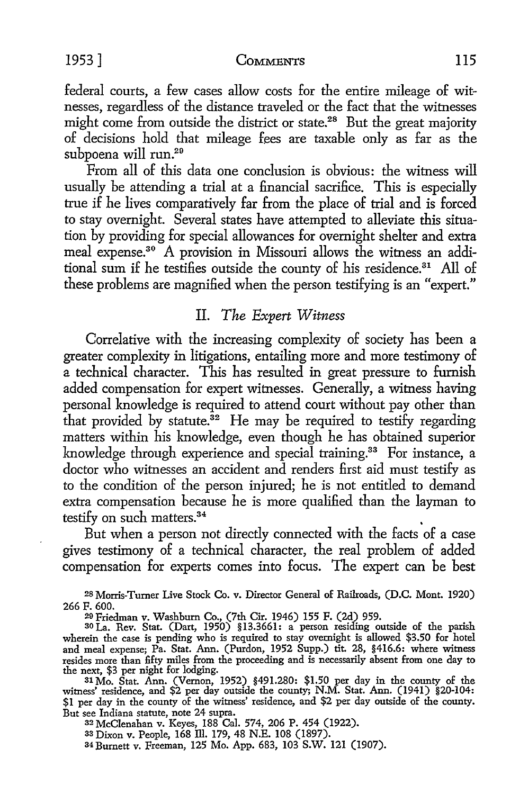federal courts, a few cases allow costs for the entire mileage of witnesses, regardless of the distance traveled or the fact that the witnesses might come from outside the district or state.<sup>28</sup> But the great majority of decisions hold that mileage fees are taxable only as far as the subpoena will run.29

From all of this data one conclusion is obvious: the witness will usually be attending a trial at a financial sacrifice. This is especially true if he lives comparatively far from the place of trial and is forced *to* stay overnight. Several states have attempted to alleviate this situation by providing for special allowances for overnight shelter and extra meal expense.<sup>30</sup> A provision in Missouri allows the witness an additional sum if he testifies outside the county of his residence.<sup>31</sup> All of these problems are magnified when the person testifying is an "expert."

# II. *The Expert Witness*

Correlative with the increasing complexity of society has been a greater complexity in litigations, entailing more and more testimony of a technical character. This has resulted in great pressure *to* furnish added compensation for expert witnesses. Generally, a witness having personal knowledge is required *to* attend court without pay other than that provided by statute.<sup>32</sup> He may be required to testify regarding matters within his knowledge, even though he has obtained superior knowledge through experience and special training.<sup>33</sup> For instance, a doctor who witnesses an accident and renders first aid must testify as to the condition of the person injured; he is not entitled *to* demand extra compensation because he is more qualified than the layman *to*  testify on such matters.<sup>34</sup>

But when a person not directly connected with the facts of a case gives testimony of a technical character, the real problem of added compensation for experts comes into focus. The expert can be best

28 Morris-Turner Live Stock Co. v. Director General of Railroads, (D.C. Mont. 1920) 266 F. 600. 20 Friedman v. Washburn Co., (7th Cir. 1946) 155 F. (2d) 959. 30 La. Rev. Stat. (Dart, 1950) §13.3661: a person resicfing outside of the parish

wherein the case is pending who is required to stay overnight is allowed \$3.50 for hotel and meal expense; Pa. Stat. Ann. (Purdon, 1952 Supp.) tit. 28, §416.6: where witness resides more than fifty miles from the proceeding and is necessarily absent from one day to the next, \$3 per night for lodging.

31 Mo. Stat. Ann. (Vernon, 1952) §491.280: \$1.50 per day in the county of the witness' residence, and \$2 per day outside the county; N.M. Stat. Ann. (1941) §20-104: \$1 per day in the county of the witness' residence, and \$2 per day outside of the county. But see Indiana statute, note 24 supra.

32 McClenahan v. Keyes, 188 Cal. 574, 206 P. 454 (1922).

33 Dixon v. People, 168 ID. 179, 48 N.E. 108 (1897).

34 Burnett v. Freeman, 125 Mo. App. 683, 103 S.W. 121 (1907).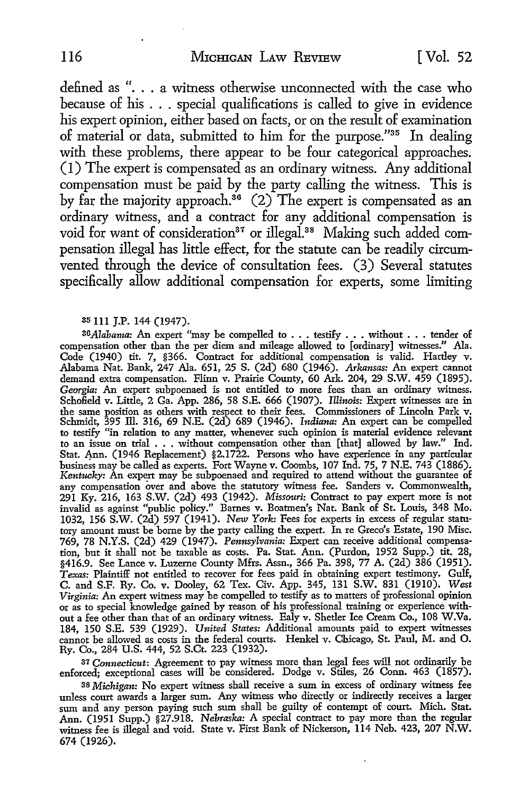defined as " $\ldots$  a witness otherwise unconnected with the case who because of his . . . special qualifications is called to give in evidence his expert opinion, either based on facts, or on the result of examination of material or data, submitted to him for the purpose."35 In dealing with these problems, there appear to be four categorical approaches. (I) The expert is compensated as an ordinary witness. Any additional compensation must be paid by the party calling the witness. This is by far the majority approach.<sup>36</sup> (2) The expert is compensated as an ordinary witness, and a contract for any additional compensation is void for want of consideration<sup>37</sup> or illegal.<sup>38</sup> Making such added compensation illegal has little effect, for the statute can be readily circumvented through the device of consultation fees. (3) Several statutes specifically allow additional compensation for experts, some limiting

#### 35 111 J.P. 144 (1947).

*36 Alabama*: An expert "may be compelled to . . . testify . . . without . . . tender of compensation other than the per diem and mileage allowed to [ordinary] witnesses." Ala. Code (1940) tit. 7, §366. Contract for additional compensation is valid. Hartley v. Alabama Nat. Bank, 247 Ala. 651, 25 S. (2d) 680 (1946). *Arkansas:* An expert cannot demand extra compensation. Flinn v. Prairie County, 60 Ark. 204, 29 S.W. 459 (1895). *Georgia:* An expert subpoenaed is not entitled to more fees than an ordinary witness. Schofield v. Little, 2 Ga. App. 286, 58 S.E. 666 (1907). *Illinois:* Expert witnesses are in the same position as others with respect to their fees. Commissioners of Lincoln Park v. Schmidt, 395 ill. 316, 69 N.E. (2d) 689 (1946). *Indiana:* An expert can be compelled to testify "in relation to any matter, whenever such opinion is material evidence relevant to an issue on trial . . . without compensation other than [that] allowed by law." Ind. Stat. 4nn. (1946 Replacement) §2.1722. Persons who have experience in any particular business may be called as experts. Fort Wayne v. Coombs, 107 Ind. 75, 7 N.E. 743 (1886). *Kentucky:* An expert may be subpoenaed and required to attend without the guarantee of any compensation over and above the statutory witness fee. Sanders v. Commonwealth, 291 Ky. 216, 163 S.W. (2d) 493 (1942). *Missouri:* Contract to pay expert more is not invalid as against "public policy." Barnes v. Boatmen's Nat. Bank of St. Louis, 348 Mo. 1032, 156 S.W. (2d) 597 (1941). New *York:* Fees for experts in excess of regular statutory amount must be borne by the party calling the expert. In re Greco's Estate, 190 Misc. 769, 78 N.Y.S. (2d) 429 (1947). *Pennsylvania:* Expert can receive additional compensation, but it shall not be taxable as costs. Pa. Stat. Ann. (Purdon, 1952 Supp.) tit. 28, §416.9. See Lance v. Luzerne County Mfrs. Assn., 366 Pa. 398, 77 A. (2d) 386 (1951). Texas: Plaintiff not entitled to recover for fees paid in obtaining expert testimony. Gulf, C. and S.F. Ry. Co. v. Dooley, 62 Tex. Civ. App. 345, 131 S.W. 831 (1910). *West*  Virginia: An expert witness may be compelled to testify as to matters of professional opinion or as to special knowledge gained by reason of his professional training or experience without a fee other than that of an ordinary witness. Ealy v. Shetler Ice Cream Co., 108 W.Va. 184, 150 S.E. 539 (1929). *United States:* Additional amounts paid to expert witnesses cannot be allowed as costs in the federal courts. Henkel v. Chicago, St. Paul, M. and 0. Ry. Co., 284 U.S. 444, 52 S.Ct. 223 (1932).

37 *Connecticut:* Agreement to pay witness more than legal fees will not ordinarily be enforced; exceptional cases will be considered. Dodge v. Stiles, 26 Conn. 463 (1857).

38 *Michigan:* No expert witness shall receive a sum in excess of ordinary witness fee unless court awards a larger sum. Any witness who directly or indirectly receives a larger sum and any person paying such sum shall be guilty of contempt of court. Mich. Stat. Ann. (1951 Supp.) §27.918. *Nebraska:* A special contract to pay more than the regular witness fee is illegal and void. State v. First Bank of Nickerson, 114 Neb. 423, 207 N.W. 674 (1926).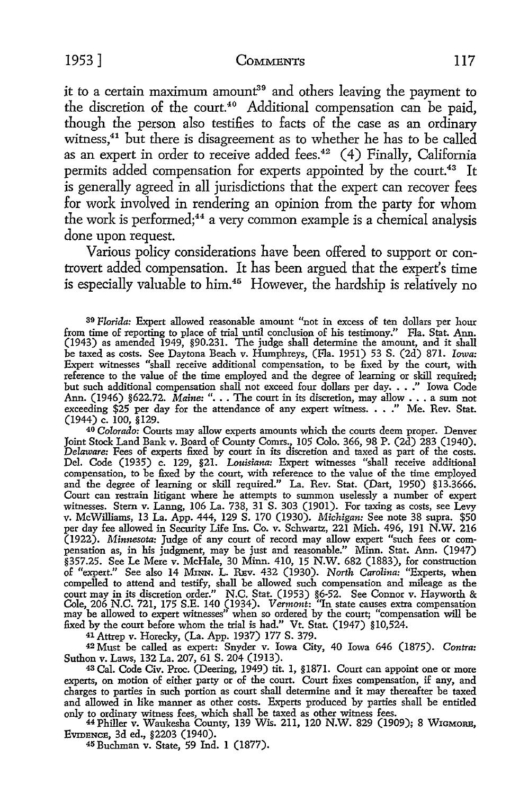it to a certain maximum amount<sup>39</sup> and others leaving the payment to the discretion of the court.<sup>40</sup> Additional compensation can be paid, though the person also testifies to facts of the case as an ordinary witness,<sup>41</sup> but there is disagreement as to whether he has to be called as an expert in order to receive added fees.<sup>42</sup> (4) Finally, California permits added compensation for experts appointed by the court.<sup>43</sup> It is generally agreed in all jurisdictions that the expert can recover fees for work involved in rendering an opinion from the party for whom the work is performed;44 a very common example is a chemical analysis done upon request.

Various policy considerations have been offered to support or controvert added compensation. It has been argued that the expert's time is especially valuable to him.<sup>45</sup> However, the hardship is relatively no

40 *Colorado:* Courts may allow experts amounts which the courts deem proper. Denver Joint Stock Land Bank v. Board of County Comrs., 105 Colo. 366, 98 P. (2d) 283 (1940). *Delaware:* Fees of experts fixed by court in its discretion and taxed as part of the costs. Del. Code (1935) c. 129, §21. *Louisiana:* Expert witnesses "shall receive additional compensation, to be fixed by the court, with reference to the value of the time employed and the degree of learning or skill required." La. Rev. Stat. (Dart, 1950) §13.3666. Court can restrain litigant where he attempts to summon uselessly a number of expert witnesses. Stem v. Lanng, 106 La. 738, 31 S. 303 (1901). For taxing as costs, see Levy v. McWilliams, 13 La. App. 444, 129 S. 170 (1930). *Michigan:* See note 38 supra. \$50 per day fee allowed in Security Life Ins. Co. v. Schwartz, 221 Mich. 496, 191 N.W. 216 (1922). *Minnesota:* Judge of any court of record may allow expert "such fees or compensation as, in his judgment, may be just and reasonable." Minn. Stat. Ann. (1947) §357.25. See Le Mere v. McHale, 30 Minn. 410, 15 N.W. 682 (1883), for construction of "expert." See also 14 MrnN. L. REv. 432 (1930). *North Carolina:* ''Experts, when compelled to attend and testify, shall be allowed such compensation and mileage as the court may in its discretion order." N.C. Stat. (1953) §6-52. See Connor v. Hayworth & Cole, 206 N.C. 721, 175 S.E. 140 (1934). *Vermont*: "In state causes extra compensation may be allowed to expert witnesses" when so orde fixed by the court before whom the trial is had." Vt. Stat. (1947) §10,524.

41 Attrep v. Horecky, (La. App. 1937) 177 S. 379.

42 Must be called as expert: Snyder v. Iowa City, 40 Iowa 646 (1875). *Contra:*  Suthon v. Laws, 132 La. 207, 61 S. 204 (1913).

<sup>43</sup>Cal. Code Civ. Proc. (Deering, 1949) tit. 1, §1871. Court can appoint one or more experts, on motion of either party or of the court. Court fixes compensation, if any, and charges to parties in such portion as court shall determine and it may thereafter be taxed and allowed in like manner as other costs. Experts produced by parties shall be entitled only to ordinary witness fees, which shall be taxed as other witness fees.

44 Philler v. Waukesha County, 139 Wis. 211, 120 N.W. 829 (1909); 8 WIGMORE, EVIDENCE, 3d ed., §2203 (1940).

45 Buchman v. State, 59 Ind. 1 (1877).

<sup>3</sup><sup>9</sup>Florida: Expert allowed reasonable amount "not in excess of ten dollars per hour from time of reporting to place of trial until conclusion of his testimony." Fla. Stat. Ann. (1943) as amended 1949, §90.231. The judge shall determine the amount, and it shall be taxed as costs. See Daytona Beach v. Humphreys, (Fla. 1951) 53 S. (2d) 871. *Iowa:*  Expert witnesses "shall receive additional compensation, to be fixed by the court, with reference to the value of the time employed and the degree of learning or skill required; but such additional compensation shall not exceed four dollars per day. . • ." Iowa Code Ann. (1946) §622.72. *Maine:* "... The court in its discretion, may allow ... a sum not exceeding \$25 per day for the attendance of any expert witness. • . ." Me. Rev. Stat. (1944) c. 100, §129.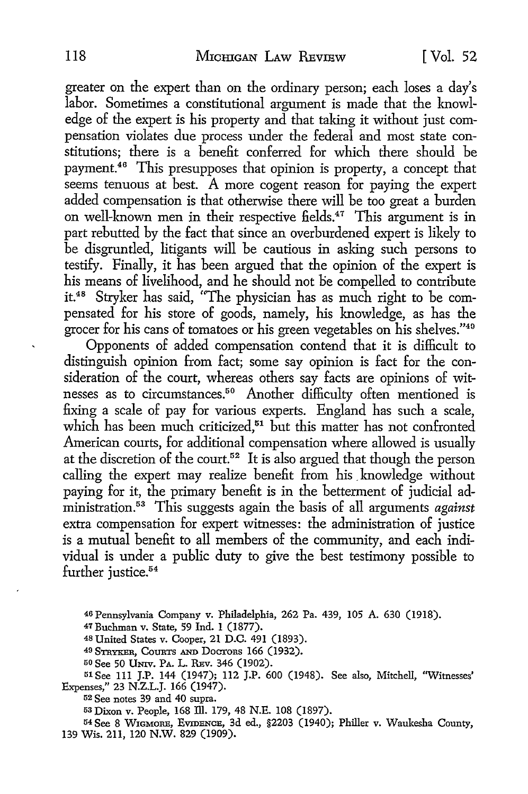greater on the expert than on the ordinary person; each loses a day's labor. Sometimes a constitutional argument is made that the knowledge of the expert is his property and that taking it without just compensation violates due process under the federal and most state constitutions; there is a benefit conferred for which there should be payment.46 This presupposes that opinion is property, a concept that seems tenuous at best. A more cogent reason for paying the expert added compensation is that otherwise there will be too great a burden on well-known men in their respective fields.<sup>47</sup> This argument is in part rebutted by the fact that since an overburdened expert is likely to be disgruntled, litigants will be cautious in asking such persons to testify. Finally, it has been argued that the opinion of the expert is his means of livelihood, and he should not be compelled to contribute it.48 Stryker has said, "The physician has as much right to be compensated for his store of goods, namely, his knowledge, as has the grocer for his cans of tomatoes or his green vegetables on his shelves."40

Opponents of added compensation contend that it is difficult to distinguish opinion from fact; some say opinion is fact for the consideration of the court, whereas others say facts are opinions of witnesses as to circumstances.<sup>50</sup> Another difficulty often mentioned is fixing a scale of pay for various experts. England has such a scale, which has been much criticized, $51$  but this matter has not confronted American courts, for additional compensation where allowed is usually at the discretion of the court.<sup>52</sup> It is also argued that though the person calling the expert may realize benefit from his knowledge without paying for it, the primary benefit is in the betterment of judicial administration. 53 This suggests again the basis of all arguments *against*  extra compensation for expert witnesses: the administration of justice is a mutual benefit to all members of the community, and each individual is under a public duty to give the best testimony possible to further justice.<sup>54</sup>

46 Pennsylvania Company v. Philadelphia, 262 Pa. 439, 105 A. 630 (1918).

48 United States v. Cooper, 21 D.C. 491 (1893).

49 STRYKER, CouRTS AND DOCTORS 166 (1932).

50 See 50 UNIV. PA. L. REv. 346 (1902).

51See 111 J.P. 144 (1947); 112 J.P. 600 (1948). See also, Mitchell, "Witnesses' Expenses," 23 N.Z.L.J. 166 (1947).

52 See notes 39 and 40 supra.

53 Dixon v. People, 168 ill. 179, 48 N.E. 108 (1897).

54 See 8 WIGMORE, EVIDENCE, 3d ed., §2203 (1940); Philler v. Waukesha County, 139 Wis. 211, 120 N.W. 829 (1909).

 $\overline{a}$ 

<sup>47</sup> Buchman v. State, 59 Ind. 1 (1877).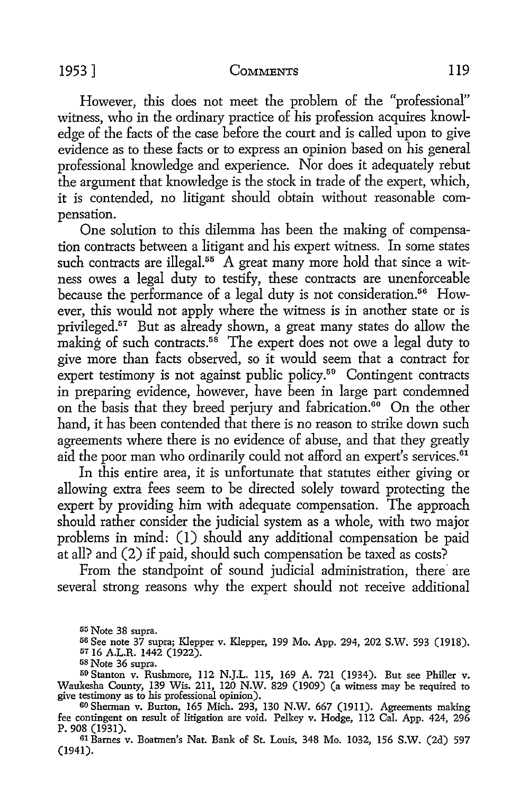#### 1953] COMMENTS 119

However, this does not meet the problem of the "professional" witness, who in the ordinary practice of his profession acquires knowledge of the facts of the case before the court and is called upon to give evidence as to these facts or to express an opinion based on his general professional knowledge and experience. Nor does it adequately rebut the argument that knowledge is the stock in trade of the expert, which, it is contended, no litigant should obtain without reasonable compensation.

One solution to this dilemma has been the making of compensation contracts between a litigant and his expert witness. In some states such contracts are illegal. $55$  A great many more hold that since a witness owes a legal duty *to* testify, these contracts are unenforceable because the performance of a legal duty is not consideration.<sup>56</sup> However, this would not apply where the witness is in another state or is privileged.57 But as already shown, a great many states do allow the making of such contracts.<sup>58</sup> The expert does not owe a legal duty to give more than facts observed, so it would seem that a contract for expert testimony is not against public policy.<sup>59</sup> Contingent contracts in preparing evidence, however, have been in large part condemned on the basis that they breed perjury and fabrication.<sup>60</sup> On the other hand, it has been contended that there is no reason to strike down such agreements where there is no evidence of abuse, and that they greatly aid the poor man who ordinarily could not afford an expert's services.<sup>61</sup>

In this entire area, it is unfortunate that statutes either giving or allowing extra fees seem *to* be directed solely toward protecting the expert by providing him with adequate compensation. The approach should rather consider the judicial system as a whole, with two major problems in mind: (I) should any additional compensation be paid at all? and (2) if paid, should such compensation be taxed as costs?

From the standpoint of sound judicial administration, there are several strong reasons why the expert should not receive additional

<sup>58</sup> Note 36 supra.<br><sup>59</sup> Stanton v. Rushmore, 112 N.J.L. 115, 169 A. 721 (1934). But see Philler v. Waukesha County, 139 Wis. 211, 120 N.W. 829 (1909) (a witness may be required to give testimony as to his professional opinion).<br><sup>60</sup> Sherman v. Burton, 165 Mich. 293, 130 N.W. 667 (1911). Agreements making

61 Barnes v. Boatmen's Nat. Bank of St. Louis, 348 Mo. 1032, 156 S.W. (2d) 597 (1941).

<sup>55</sup> Note 38 supra.

<sup>&</sup>lt;sup>56</sup> See note 37 supra; Klepper v. Klepper, 199 Mo. App. 294, 202 S.W. 593 (1918).<br><sup>57</sup> 16 A.L.R. 1442 (1922).<br><sup>58</sup> Note 36 supra.

fee contingent on result of litigation are void. Pelkey v. Hodge, 112 Cal. App. 424, 296 P. 908 (1931).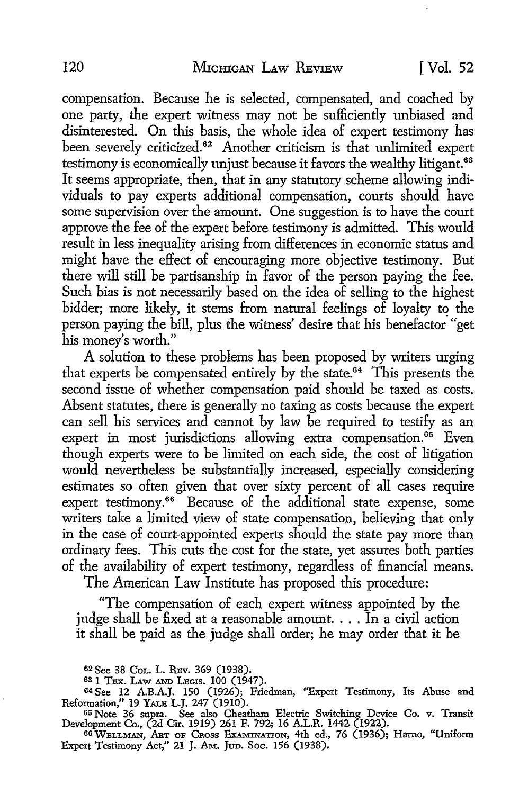compensation. Because he is selected, compensated, and coached by one party, the expert witness may not be sufficiently unbiased and disinterested. On this basis, the whole idea of expert testimony has been severely criticized.<sup>62</sup> Another criticism is that unlimited expert testimony is economically unjust because it favors the wealthy litigant.<sup>63</sup> It seems appropriate, then, that in any statutory scheme allowing individuals to pay experts additional compensation, courts should have some supervision over the amount. One suggestion is to have the court approve the fee of the expert before testimony is admitted. This would result in less inequality arising from differences in economic status and might have the effect of encouraging more objective testimony. But there will still be partisanship in favor of the person paying the fee. Such bias is not necessarily based on the idea of selling to the highest bidder; more likely, it stems from natural feelings of loyalty to the person paying the bill, plus the witness' desire that his benefactor "get his money's worth."

A solution to these problems has been proposed by writers urging that experts be compensated entirely by the state.64 This presents the second issue of whether compensation paid should be taxed as costs. Absent statutes, there is generally no taxing as costs because the expert can sell his services and cannot by law be required to testify as an expert in most jurisdictions allowing extra compensation.<sup>65</sup> Even though experts were to be limited on each side, the cost of litigation would nevertheless be substantially increased, especially considering estimates so often given that over sixty percent of all cases require expert testimony.<sup>66</sup> Because of the additional state expense, some writers take a limited view of state compensation, believing that only in the case of court-appointed experts should the state pay more than ordinary fees. This cuts the cost for the state, yet assures both parties of the availability of expert testimony, regardless of financial means.

The American Law Institute has proposed this procedure:

"The compensation of each expert witness appointed by the judge shall be fixed at a reasonable amount.  $\ldots$  in a civil action it shall be paid as the judge shall order; he may order that it be

62 See 38 CoL. L. RBv. 369 (1938).

<sup>63</sup>1 TEX. LAW AND LEGIS. 100 (1947).

64 See 12 A.B.A.J. 150 (1926); Friedman, ''Expert Testimony, Its Abuse and Reformation," 19 YALE L.J. 247 (1910).

<sup>65</sup> Note 36 supra. See also Cheatham Electric Switching Device Co. v. Transit Development Co., (2d Cir. 1919) 261 F. 792; 16 A.L.R. 1442 (1922).

66 WELLMAN, ART OF CROSS EXAMINATION, 4th ed., 76 (1936); Harno, "Uniform Expert Testimony Act," 21 J. Am. Jup. Soc. 156 (1938).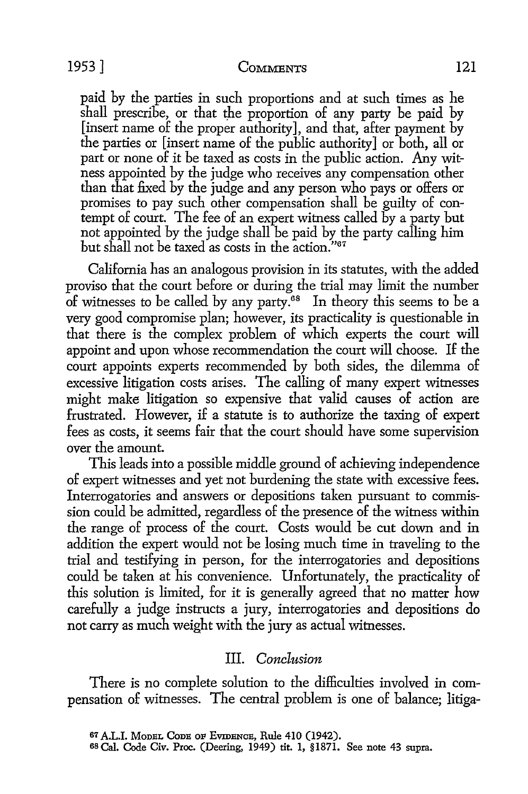paid by the parties in such proportions and at such times as he shall prescribe, or that the proportion of any party be paid by [insert name of the proper authority], and that, after payment by the parties or [insert name of the public authority] or both, all or part or none of it be taxed as costs in the public action. Any witness appointed by the judge who receives any compensation other than that fixed by the judge and any person who pays or offers or promises to pay such other compensation shall be guilty of contempt of court. The fee of an expert witness called by a party but not appointed by the judge shall be paid by the party calling him but shall not be taxed as costs in the action."67

California has an analogous provision in its statutes, with the added proviso that the court before or during the trial may limit the number of witnesses to be called by any party.<sup>68</sup> In theory this seems to be a very good compromise plan; however, its practicality is questionable in that there is the complex problem of which experts the court will appoint and upon whose recommendation the court will choose. If the court appoints experts recommended by both sides, the dilemma of excessive litigation costs arises. The calling of many expert witnesses might make litigation so expensive that valid causes of action are frustrated. However, if a statute is to authorize the taxing of expert fees as costs, it seems fair that the court should have some supervision over the amount.

This leads into a possible middle ground of achieving independence of expert witnesses and yet not burdening the state with excessive fees. Interrogatories and answers or depositions taken pursuant to commission could be admitted, regardless of the presence of the witness within the range of process of the court. Costs would be cut down and in addition the expert would not be losing much time in traveling to the trial and testifying in person, for the interrogatories and depositions could be taken at his convenience. Unfortunately, the practicality of this solution is limited, for it is generally agreed that no matter how carefully a judge instructs a jury, interrogatories and depositions do not carry as much weight with the jury as actual witnesses.

# III. *Conclusion*

There is no complete solution to the difficulties involved in compensation of witnesses. The central problem is one of balance; litiga-